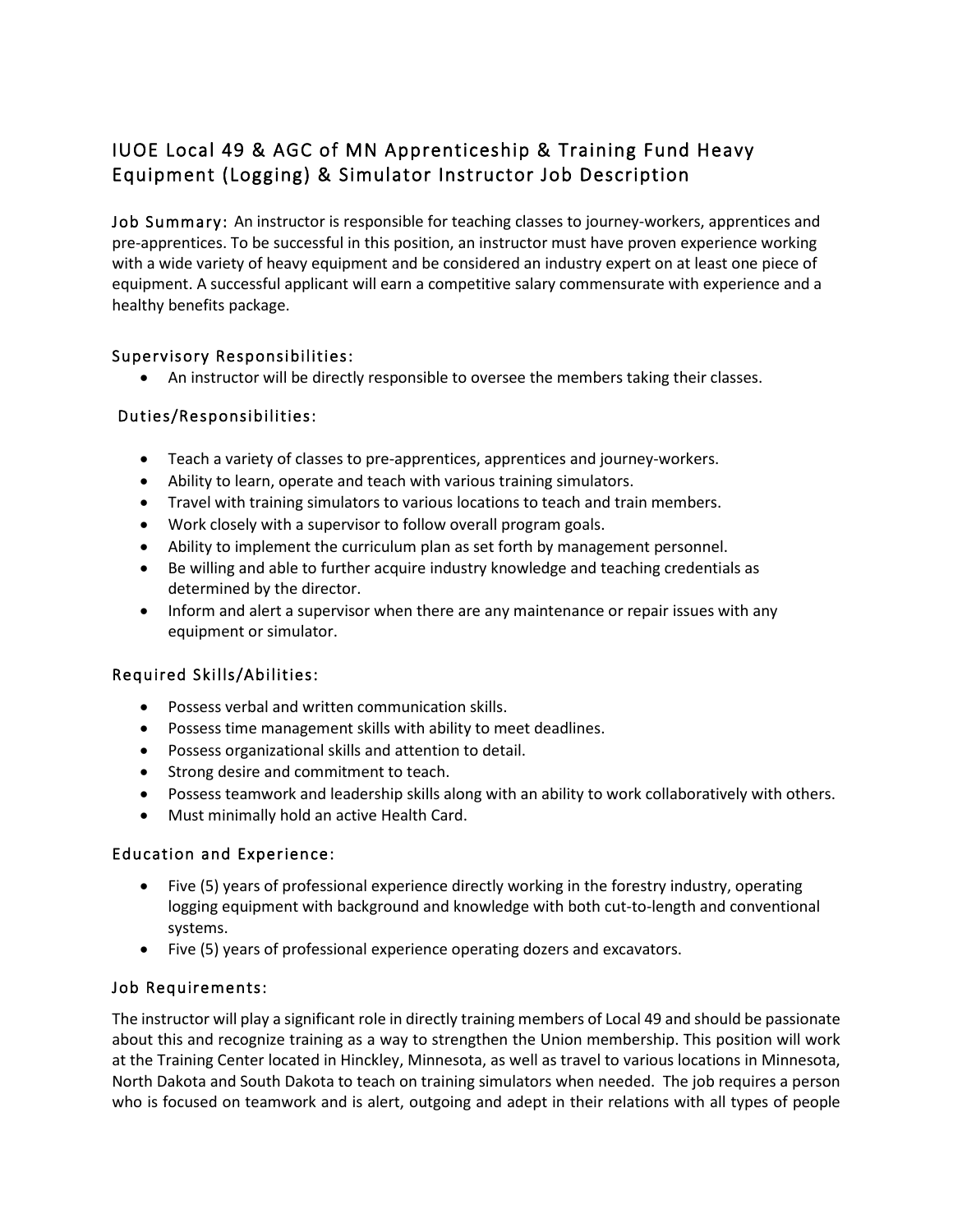# IUOE Local 49 & AGC of MN Apprenticeship & Training Fund Heavy Equipment (Logging) & Simulator Instructor Job Description

Job Summary: An instructor is responsible for teaching classes to journey-workers, apprentices and pre-apprentices. To be successful in this position, an instructor must have proven experience working with a wide variety of heavy equipment and be considered an industry expert on at least one piece of equipment. A successful applicant will earn a competitive salary commensurate with experience and a healthy benefits package.

## Supervisory Responsibilities:

• An instructor will be directly responsible to oversee the members taking their classes.

### Duties/Responsibilities:

- Teach a variety of classes to pre-apprentices, apprentices and journey-workers.
- Ability to learn, operate and teach with various training simulators.
- Travel with training simulators to various locations to teach and train members.
- Work closely with a supervisor to follow overall program goals.
- Ability to implement the curriculum plan as set forth by management personnel.
- Be willing and able to further acquire industry knowledge and teaching credentials as determined by the director.
- Inform and alert a supervisor when there are any maintenance or repair issues with any equipment or simulator.

### Required Skills/Abilities:

- Possess verbal and written communication skills.
- Possess time management skills with ability to meet deadlines.
- Possess organizational skills and attention to detail.
- Strong desire and commitment to teach.
- Possess teamwork and leadership skills along with an ability to work collaboratively with others.
- Must minimally hold an active Health Card.

### Education and Experience:

- Five (5) years of professional experience directly working in the forestry industry, operating logging equipment with background and knowledge with both cut-to-length and conventional systems.
- Five (5) years of professional experience operating dozers and excavators.

### Job Requirements:

The instructor will play a significant role in directly training members of Local 49 and should be passionate about this and recognize training as a way to strengthen the Union membership. This position will work at the Training Center located in Hinckley, Minnesota, as well as travel to various locations in Minnesota, North Dakota and South Dakota to teach on training simulators when needed. The job requires a person who is focused on teamwork and is alert, outgoing and adept in their relations with all types of people